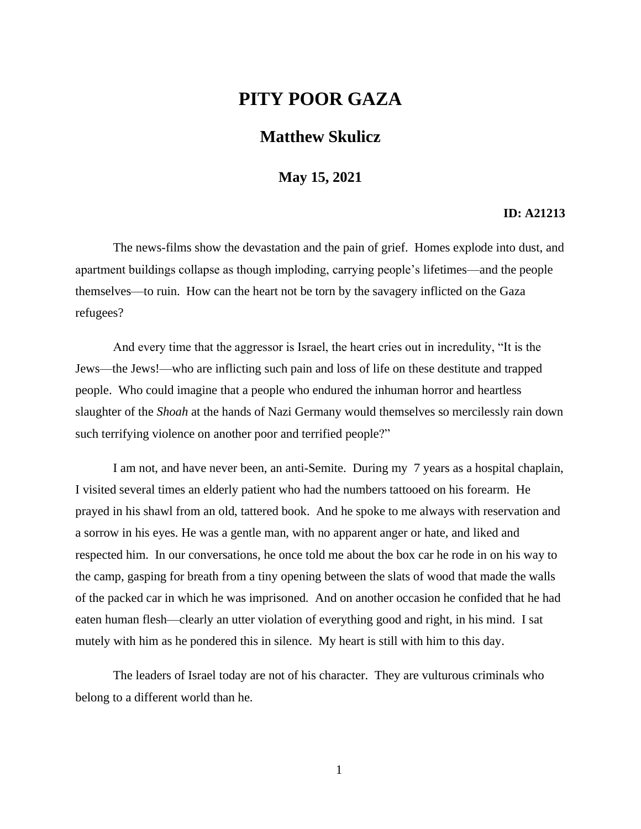## **PITY POOR GAZA**

## **Matthew Skulicz**

## **May 15, 2021**

## **ID: A21213**

The news-films show the devastation and the pain of grief. Homes explode into dust, and apartment buildings collapse as though imploding, carrying people's lifetimes—and the people themselves—to ruin. How can the heart not be torn by the savagery inflicted on the Gaza refugees?

And every time that the aggressor is Israel, the heart cries out in incredulity, "It is the Jews—the Jews!—who are inflicting such pain and loss of life on these destitute and trapped people. Who could imagine that a people who endured the inhuman horror and heartless slaughter of the *Shoah* at the hands of Nazi Germany would themselves so mercilessly rain down such terrifying violence on another poor and terrified people?"

I am not, and have never been, an anti-Semite. During my 7 years as a hospital chaplain, I visited several times an elderly patient who had the numbers tattooed on his forearm. He prayed in his shawl from an old, tattered book. And he spoke to me always with reservation and a sorrow in his eyes. He was a gentle man, with no apparent anger or hate, and liked and respected him. In our conversations, he once told me about the box car he rode in on his way to the camp, gasping for breath from a tiny opening between the slats of wood that made the walls of the packed car in which he was imprisoned. And on another occasion he confided that he had eaten human flesh—clearly an utter violation of everything good and right, in his mind. I sat mutely with him as he pondered this in silence. My heart is still with him to this day.

The leaders of Israel today are not of his character. They are vulturous criminals who belong to a different world than he.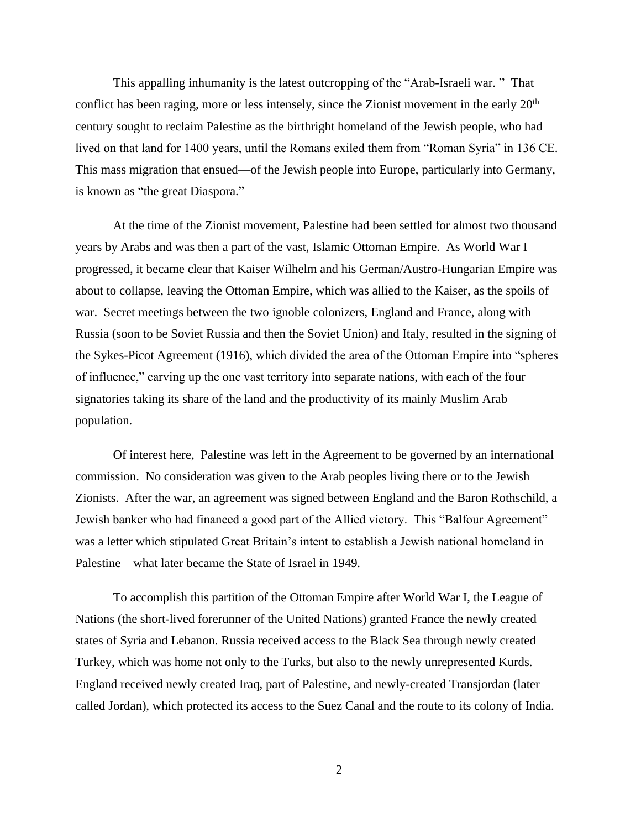This appalling inhumanity is the latest outcropping of the "Arab-Israeli war. " That conflict has been raging, more or less intensely, since the Zionist movement in the early 20<sup>th</sup> century sought to reclaim Palestine as the birthright homeland of the Jewish people, who had lived on that land for 1400 years, until the Romans exiled them from "Roman Syria" in 136 CE. This mass migration that ensued—of the Jewish people into Europe, particularly into Germany, is known as "the great Diaspora."

At the time of the Zionist movement, Palestine had been settled for almost two thousand years by Arabs and was then a part of the vast, Islamic Ottoman Empire. As World War I progressed, it became clear that Kaiser Wilhelm and his German/Austro-Hungarian Empire was about to collapse, leaving the Ottoman Empire, which was allied to the Kaiser, as the spoils of war. Secret meetings between the two ignoble colonizers, England and France, along with Russia (soon to be Soviet Russia and then the Soviet Union) and Italy, resulted in the signing of the Sykes-Picot Agreement (1916), which divided the area of the Ottoman Empire into "spheres of influence," carving up the one vast territory into separate nations, with each of the four signatories taking its share of the land and the productivity of its mainly Muslim Arab population.

Of interest here, Palestine was left in the Agreement to be governed by an international commission. No consideration was given to the Arab peoples living there or to the Jewish Zionists. After the war, an agreement was signed between England and the Baron Rothschild, a Jewish banker who had financed a good part of the Allied victory. This "Balfour Agreement" was a letter which stipulated Great Britain's intent to establish a Jewish national homeland in Palestine—what later became the State of Israel in 1949.

To accomplish this partition of the Ottoman Empire after World War I, the League of Nations (the short-lived forerunner of the United Nations) granted France the newly created states of Syria and Lebanon. Russia received access to the Black Sea through newly created Turkey, which was home not only to the Turks, but also to the newly unrepresented Kurds. England received newly created Iraq, part of Palestine, and newly-created Transjordan (later called Jordan), which protected its access to the Suez Canal and the route to its colony of India.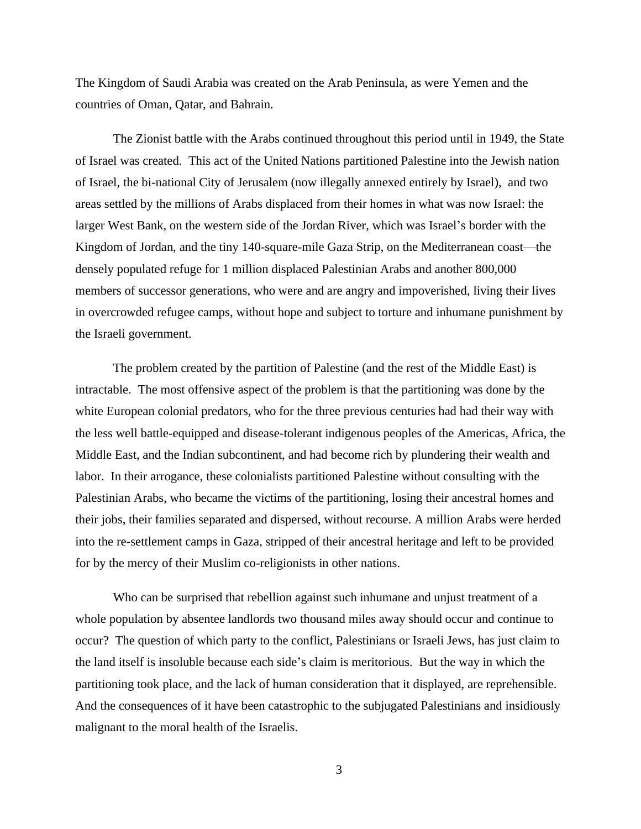The Kingdom of Saudi Arabia was created on the Arab Peninsula, as were Yemen and the countries of Oman, Qatar, and Bahrain.

The Zionist battle with the Arabs continued throughout this period until in 1949, the State of Israel was created. This act of the United Nations partitioned Palestine into the Jewish nation of Israel, the bi-national City of Jerusalem (now illegally annexed entirely by Israel), and two areas settled by the millions of Arabs displaced from their homes in what was now Israel: the larger West Bank, on the western side of the Jordan River, which was Israel's border with the Kingdom of Jordan, and the tiny 140-square-mile Gaza Strip, on the Mediterranean coast—the densely populated refuge for 1 million displaced Palestinian Arabs and another 800,000 members of successor generations, who were and are angry and impoverished, living their lives in overcrowded refugee camps, without hope and subject to torture and inhumane punishment by the Israeli government.

The problem created by the partition of Palestine (and the rest of the Middle East) is intractable. The most offensive aspect of the problem is that the partitioning was done by the white European colonial predators, who for the three previous centuries had had their way with the less well battle-equipped and disease-tolerant indigenous peoples of the Americas, Africa, the Middle East, and the Indian subcontinent, and had become rich by plundering their wealth and labor. In their arrogance, these colonialists partitioned Palestine without consulting with the Palestinian Arabs, who became the victims of the partitioning, losing their ancestral homes and their jobs, their families separated and dispersed, without recourse. A million Arabs were herded into the re-settlement camps in Gaza, stripped of their ancestral heritage and left to be provided for by the mercy of their Muslim co-religionists in other nations.

Who can be surprised that rebellion against such inhumane and unjust treatment of a whole population by absentee landlords two thousand miles away should occur and continue to occur? The question of which party to the conflict, Palestinians or Israeli Jews, has just claim to the land itself is insoluble because each side's claim is meritorious. But the way in which the partitioning took place, and the lack of human consideration that it displayed, are reprehensible. And the consequences of it have been catastrophic to the subjugated Palestinians and insidiously malignant to the moral health of the Israelis.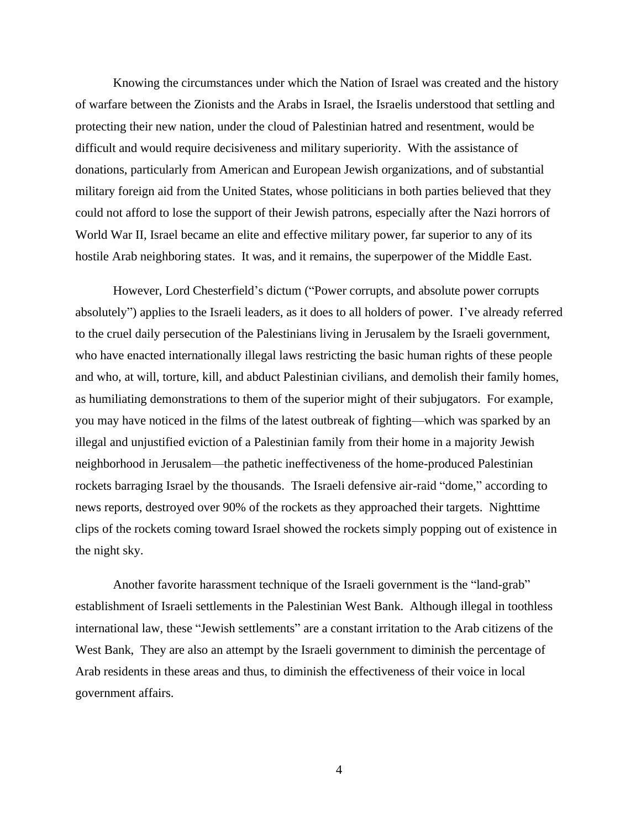Knowing the circumstances under which the Nation of Israel was created and the history of warfare between the Zionists and the Arabs in Israel, the Israelis understood that settling and protecting their new nation, under the cloud of Palestinian hatred and resentment, would be difficult and would require decisiveness and military superiority. With the assistance of donations, particularly from American and European Jewish organizations, and of substantial military foreign aid from the United States, whose politicians in both parties believed that they could not afford to lose the support of their Jewish patrons, especially after the Nazi horrors of World War II, Israel became an elite and effective military power, far superior to any of its hostile Arab neighboring states. It was, and it remains, the superpower of the Middle East.

However, Lord Chesterfield's dictum ("Power corrupts, and absolute power corrupts absolutely") applies to the Israeli leaders, as it does to all holders of power. I've already referred to the cruel daily persecution of the Palestinians living in Jerusalem by the Israeli government, who have enacted internationally illegal laws restricting the basic human rights of these people and who, at will, torture, kill, and abduct Palestinian civilians, and demolish their family homes, as humiliating demonstrations to them of the superior might of their subjugators. For example, you may have noticed in the films of the latest outbreak of fighting—which was sparked by an illegal and unjustified eviction of a Palestinian family from their home in a majority Jewish neighborhood in Jerusalem—the pathetic ineffectiveness of the home-produced Palestinian rockets barraging Israel by the thousands. The Israeli defensive air-raid "dome," according to news reports, destroyed over 90% of the rockets as they approached their targets. Nighttime clips of the rockets coming toward Israel showed the rockets simply popping out of existence in the night sky.

Another favorite harassment technique of the Israeli government is the "land-grab" establishment of Israeli settlements in the Palestinian West Bank. Although illegal in toothless international law, these "Jewish settlements" are a constant irritation to the Arab citizens of the West Bank, They are also an attempt by the Israeli government to diminish the percentage of Arab residents in these areas and thus, to diminish the effectiveness of their voice in local government affairs.

4